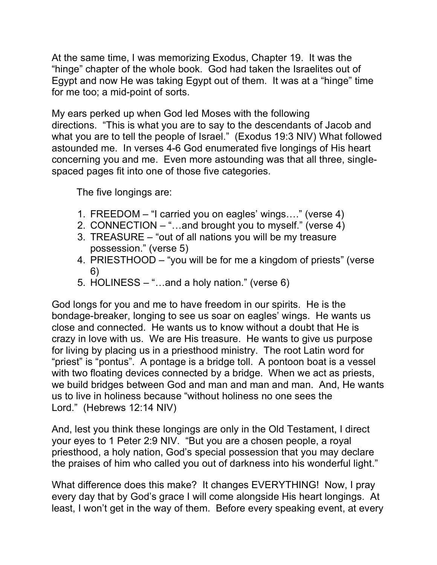At the same time, I was memorizing Exodus, Chapter 19. It was the "hinge" chapter of the whole book. God had taken the Israelites out of Egypt and now He was taking Egypt out of them. It was at a "hinge" time for me too; a mid-point of sorts.

My ears perked up when God led Moses with the following directions. "This is what you are to say to the descendants of Jacob and what you are to tell the people of Israel." (Exodus 19:3 NIV) What followed astounded me. In verses 4-6 God enumerated five longings of His heart concerning you and me. Even more astounding was that all three, singlespaced pages fit into one of those five categories.

The five longings are:

- 1. FREEDOM "I carried you on eagles' wings…." (verse 4)
- 2. CONNECTION "…and brought you to myself." (verse 4)
- 3. TREASURE "out of all nations you will be my treasure possession." (verse 5)
- 4. PRIESTHOOD "you will be for me a kingdom of priests" (verse 6)
- 5. HOLINESS "…and a holy nation." (verse 6)

God longs for you and me to have freedom in our spirits. He is the bondage-breaker, longing to see us soar on eagles' wings. He wants us close and connected. He wants us to know without a doubt that He is crazy in love with us. We are His treasure. He wants to give us purpose for living by placing us in a priesthood ministry. The root Latin word for "priest" is "pontus". A pontage is a bridge toll. A pontoon boat is a vessel with two floating devices connected by a bridge. When we act as priests, we build bridges between God and man and man and man. And, He wants us to live in holiness because "without holiness no one sees the Lord." (Hebrews 12:14 NIV)

And, lest you think these longings are only in the Old Testament, I direct your eyes to 1 Peter 2:9 NIV. "But you are a chosen people, a royal priesthood, a holy nation, God's special possession that you may declare the praises of him who called you out of darkness into his wonderful light."

What difference does this make? It changes EVERYTHING! Now, I pray every day that by God's grace I will come alongside His heart longings. At least, I won't get in the way of them. Before every speaking event, at every